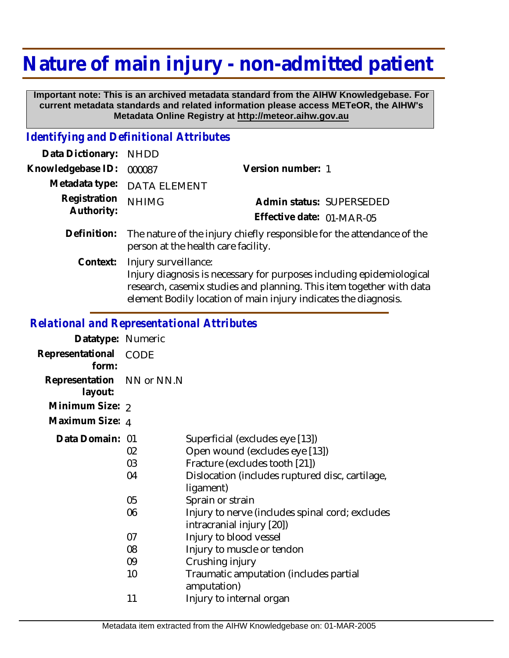## **Nature of main injury - non-admitted patient**

 **Important note: This is an archived metadata standard from the AIHW Knowledgebase. For current metadata standards and related information please access METeOR, the AIHW's Metadata Online Registry at http://meteor.aihw.gov.au**

## *Identifying and Definitional Attributes*

| Data Dictionary:           | <b>NHDD</b>                                                                                                                                                                                                                             |                           |  |
|----------------------------|-----------------------------------------------------------------------------------------------------------------------------------------------------------------------------------------------------------------------------------------|---------------------------|--|
| Knowledgebase ID:          | 000087                                                                                                                                                                                                                                  | Version number: 1         |  |
| Metadata type:             | <b>DATA ELEMENT</b>                                                                                                                                                                                                                     |                           |  |
| Registration<br>Authority: | <b>NHIMG</b>                                                                                                                                                                                                                            | Admin status: SUPERSEDED  |  |
|                            |                                                                                                                                                                                                                                         | Effective date: 01-MAR-05 |  |
| Definition:                | The nature of the injury chiefly responsible for the attendance of the<br>person at the health care facility.                                                                                                                           |                           |  |
| Context:                   | Injury surveillance:<br>Injury diagnosis is necessary for purposes including epidemiological<br>research, casemix studies and planning. This item together with data<br>element Bodily location of main injury indicates the diagnosis. |                           |  |

## *Relational and Representational Attributes*

| Datatype: Numeric                    |                      |                                                                                                                                                                                         |
|--------------------------------------|----------------------|-----------------------------------------------------------------------------------------------------------------------------------------------------------------------------------------|
| Representational<br>form:            | <b>CODE</b>          |                                                                                                                                                                                         |
| Representation NN or NN.N<br>layout: |                      |                                                                                                                                                                                         |
| Minimum Size: 2                      |                      |                                                                                                                                                                                         |
| Maximum Size: 4                      |                      |                                                                                                                                                                                         |
| Data Domain: 01                      | 02<br>03<br>04<br>05 | Superficial (excludes eye [13])<br>Open wound (excludes eye [13])<br>Fracture (excludes tooth [21])<br>Dislocation (includes ruptured disc, cartilage,<br>ligament)<br>Sprain or strain |
|                                      | 06<br>07             | Injury to nerve (includes spinal cord; excludes<br>intracranial injury [20])<br>Injury to blood vessel                                                                                  |
|                                      | 08                   | Injury to muscle or tendon                                                                                                                                                              |
|                                      | 09                   | Crushing injury                                                                                                                                                                         |
|                                      | 10                   | Traumatic amputation (includes partial<br>amputation)                                                                                                                                   |
|                                      | 11                   | Injury to internal organ                                                                                                                                                                |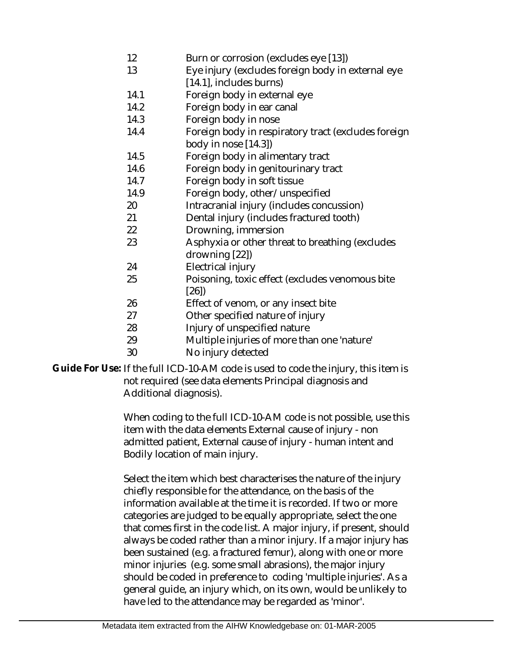- 12 Burn or corrosion (excludes eye [13])
- 13 Eye injury (excludes foreign body in external eye [14.1], includes burns)
- 14.1 Foreign body in external eye
- 14.2 Foreign body in ear canal
- 14.3 Foreign body in nose
- 14.4 Foreign body in respiratory tract (excludes foreign body in nose [14.3])
- 14.5 Foreign body in alimentary tract
- 14.6 Foreign body in genitourinary tract
- 14.7 Foreign body in soft tissue
- 14.9 Foreign body, other/unspecified
- 20 Intracranial injury (includes concussion)
- 21 Dental injury (includes fractured tooth)
- 22 Drowning, immersion
- 23 Asphyxia or other threat to breathing (excludes drowning [22])
- 24 Electrical injury
- 25 Poisoning, toxic effect (excludes venomous bite [26])
- 26 Effect of venom, or any insect bite
- 27 Other specified nature of injury
- 28 Injury of unspecified nature
- 29 Multiple injuries of more than one 'nature'
- 30 No injury detected

Guide For Use: If the full ICD-10-AM code is used to code the injury, this item is not required (see data elements Principal diagnosis and Additional diagnosis).

> When coding to the full ICD-10-AM code is not possible, use this item with the data elements External cause of injury - non admitted patient, External cause of injury - human intent and Bodily location of main injury.

> Select the item which best characterises the nature of the injury chiefly responsible for the attendance, on the basis of the information available at the time it is recorded. If two or more categories are judged to be equally appropriate, select the one that comes first in the code list. A major injury, if present, should always be coded rather than a minor injury. If a major injury has been sustained (e.g. a fractured femur), along with one or more minor injuries (e.g. some small abrasions), the major injury should be coded in preference to coding 'multiple injuries'. As a general guide, an injury which, on its own, would be unlikely to have led to the attendance may be regarded as 'minor'.